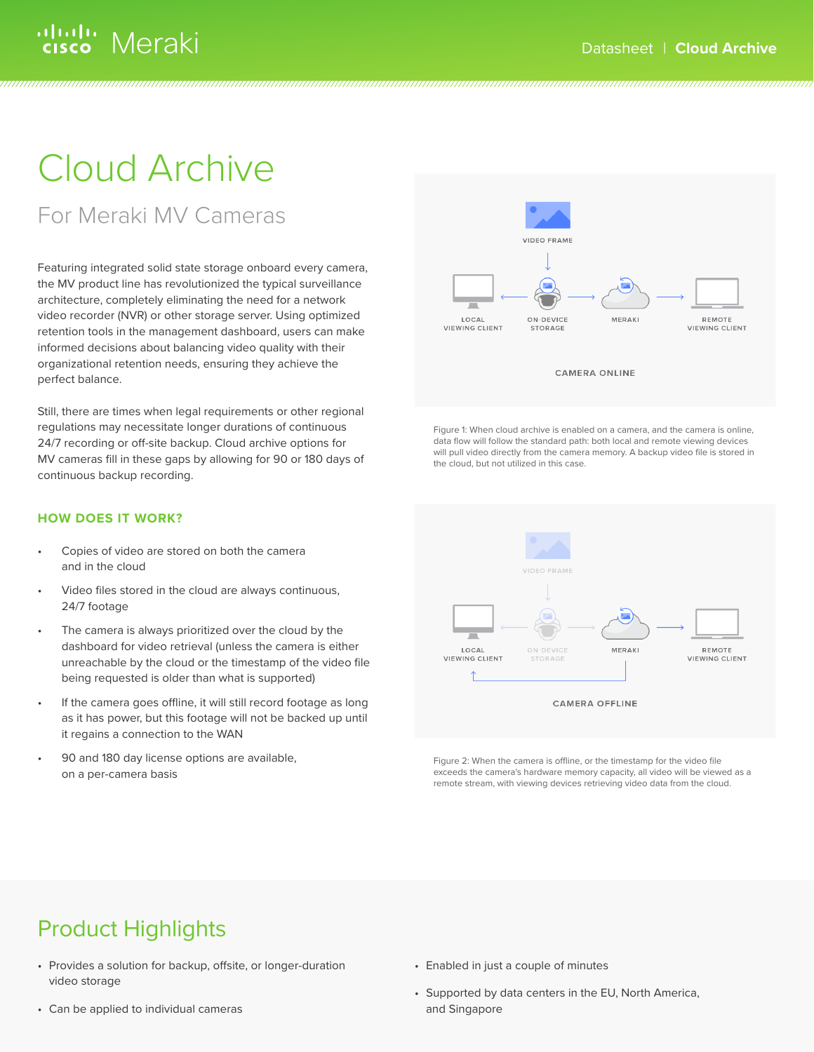## ululu Meraki

# Cloud Archive

For Meraki MV Cameras

Featuring integrated solid state storage onboard every camera, the MV product line has revolutionized the typical surveillance architecture, completely eliminating the need for a network video recorder (NVR) or other storage server. Using optimized retention tools in the management dashboard, users can make informed decisions about balancing video quality with their organizational retention needs, ensuring they achieve the perfect balance.

Still, there are times when legal requirements or other regional regulations may necessitate longer durations of continuous 24/7 recording or off-site backup. Cloud archive options for MV cameras fill in these gaps by allowing for 90 or 180 days of continuous backup recording.

### **HOW DOES IT WORK?**

- Copies of video are stored on both the camera and in the cloud
- Video files stored in the cloud are always continuous, 24/7 footage
- The camera is always prioritized over the cloud by the dashboard for video retrieval (unless the camera is either unreachable by the cloud or the timestamp of the video file being requested is older than what is supported)
- If the camera goes offline, it will still record footage as long as it has power, but this footage will not be backed up until it regains a connection to the WAN
- 90 and 180 day license options are available, on a per-camera basis



Figure 1: When cloud archive is enabled on a camera, and the camera is online, data flow will follow the standard path: both local and remote viewing devices will pull video directly from the camera memory. A backup video file is stored in the cloud, but not utilized in this case.



Figure 2: When the camera is offline, or the timestamp for the video file exceeds the camera's hardware memory capacity, all video will be viewed as a remote stream, with viewing devices retrieving video data from the cloud.

## Product Highlights

- Provides a solution for backup, offsite, or longer-duration video storage
- Can be applied to individual cameras
- Enabled in just a couple of minutes
- Supported by data centers in the EU, North America, and Singapore